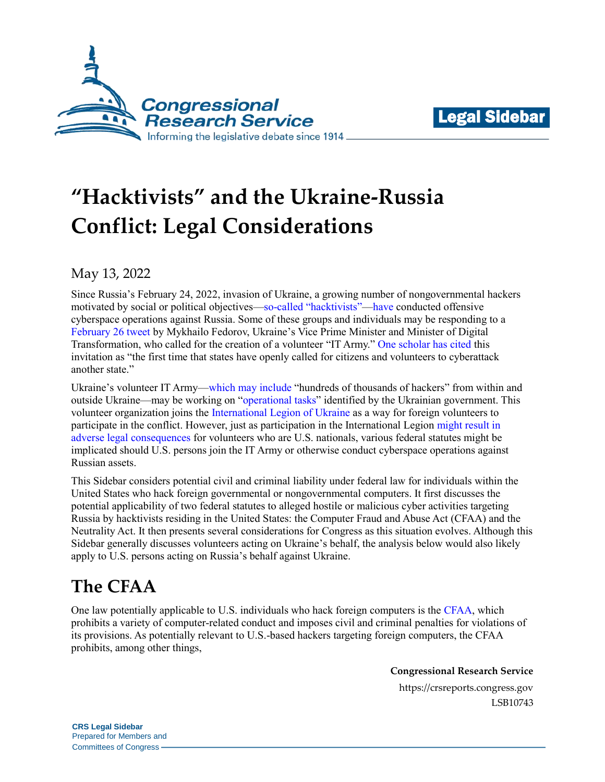



# **"Hacktivists" and the Ukraine-Russia Conflict: Legal Considerations**

May 13, 2022

Since Russia's February 24, 2022, invasion of Ukraine, a growing number of nongovernmental hackers motivated by social or political objectives[—so-called "hacktivists"](https://www.merriam-webster.com/dictionary/hacktivism)[—have c](https://www.washingtonpost.com/technology/2022/05/01/russia-cyber-attacks-hacking/)onducted offensive cyberspace operations against Russia. Some of these groups and individuals may be responding to a [February 26 tweet](https://twitter.com/FedorovMykhailo/status/1497642156076511233) by Mykhailo Fedorov, Ukraine's Vice Prime Minister and Minister of Digital Transformation, who called for the creation of a volunteer "IT Army." [One scholar has cited](https://apnews.com/article/russia-ukraine-vladimir-putin-technology-europe-hacking-a61c1c631fd4fc945d02066e03fec534) this invitation as "the first time that states have openly called for citizens and volunteers to cyberattack another state."

Ukraine's volunteer IT Army[—which may include](https://www.wsj.com/livecoverage/russia-ukraine-latest-news-2022-03-04/card/ukraine-s-it-army-has-hundreds-of-thousands-of-hackers-kyiv-says-RfpGa5zmLtavrot27OWX) "hundreds of thousands of hackers" from within and outside Ukraine—may be working on ["operational tasks"](https://twitter.com/FedorovMykhailo/status/1497642156076511233) identified by the Ukrainian government. This volunteer organization joins the [International Legion of Ukraine](https://fightforua.org/) as a way for foreign volunteers to participate in the conflict. However, just as participation in the International Legion [might result in](https://crsreports.congress.gov/product/pdf/IF/IF12068)  [adverse legal consequences](https://crsreports.congress.gov/product/pdf/IF/IF12068) for volunteers who are U.S. nationals, various federal statutes might be implicated should U.S. persons join the IT Army or otherwise conduct cyberspace operations against Russian assets.

This Sidebar considers potential civil and criminal liability under federal law for individuals within the United States who hack foreign governmental or nongovernmental computers. It first discusses the potential applicability of two federal statutes to alleged hostile or malicious cyber activities targeting Russia by hacktivists residing in the United States: the Computer Fraud and Abuse Act (CFAA) and the Neutrality Act. It then presents several considerations for Congress as this situation evolves. Although this Sidebar generally discusses volunteers acting on Ukraine's behalf, the analysis below would also likely apply to U.S. persons acting on Russia's behalf against Ukraine.

## **The CFAA**

One law potentially applicable to U.S. individuals who hack foreign computers is the [CFAA,](https://uscode.house.gov/view.xhtml?req=(title:18%20section:1030%20edition:prelim)%20OR%20(granuleid:USC-prelim-title18-section1030)&f=treesort&edition=prelim&num=0&jumpTo=true) which prohibits a variety of computer-related conduct and imposes civil and criminal penalties for violations of its provisions. As potentially relevant to U.S.-based hackers targeting foreign computers, the CFAA prohibits, among other things,

**Congressional Research Service**

https://crsreports.congress.gov LSB10743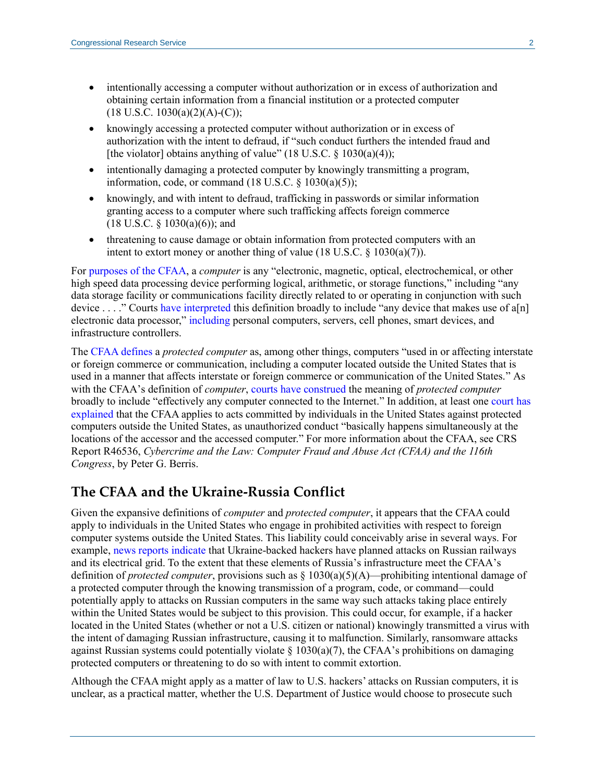- intentionally accessing a computer without authorization or in excess of authorization and obtaining certain information from a financial institution or a protected computer  $(18 \text{ U.S.C. } 1030(a)(2)(A)-(C));$
- knowingly accessing a protected computer without authorization or in excess of authorization with the intent to defraud, if "such conduct furthers the intended fraud and [the violator] obtains anything of value" (18 U.S.C.  $\S$  1030(a)(4));
- intentionally damaging a protected computer by knowingly transmitting a program, information, code, or command  $(18$  U.S.C.  $\S$   $1030(a)(5)$ ;
- knowingly, and with intent to defraud, trafficking in passwords or similar information granting access to a computer where such trafficking affects foreign commerce  $(18 \text{ U.S.C. } § 1030(a)(6))$ ; and
- threatening to cause damage or obtain information from protected computers with an intent to extort money or another thing of value  $(18 \text{ U.S.C. } §\ 1030(a)(7))$ .

For [purposes of the CFAA,](https://uscode.house.gov/view.xhtml?req=(title:18%20section:1030%20edition:prelim)%20OR%20(granuleid:USC-prelim-title18-section1030)&f=treesort&edition=prelim&num=0&jumpTo=true) a *computer* is any "electronic, magnetic, optical, electrochemical, or other high speed data processing device performing logical, arithmetic, or storage functions," including "any data storage facility or communications facility directly related to or operating in conjunction with such device . . . ." Courts [have interpreted](https://casetext.com/case/us-v-kramer-34) this definition broadly to include "any device that makes use of a[n] electronic data processor," [including](https://casetext.com/case/united-states-v-nosal-28) personal computers, servers, cell phones, smart devices, and infrastructure controllers.

The [CFAA defines](https://uscode.house.gov/view.xhtml?req=(title:18%20section:1030%20edition:prelim)%20OR%20(granuleid:USC-prelim-title18-section1030)&f=treesort&edition=prelim&num=0&jumpTo=true) a *protected computer* as, among other things, computers "used in or affecting interstate or foreign commerce or communication, including a computer located outside the United States that is used in a manner that affects interstate or foreign commerce or communication of the United States." As with the CFAA's definition of *computer*, [courts have construed](https://casetext.com/case/hiq-labs-inc-v-linkedin-corp-2) the meaning of *protected computer* broadly to include "effectively any computer connected to the Internet." In addition, at least one [court has](https://casetext.com/case/dac-v-expedia-inc)  [explained](https://casetext.com/case/dac-v-expedia-inc) that the CFAA applies to acts committed by individuals in the United States against protected computers outside the United States, as unauthorized conduct "basically happens simultaneously at the locations of the accessor and the accessed computer." For more information about the CFAA, see CRS Report R46536, *[Cybercrime and the Law: Computer Fraud and Abuse Act \(CFAA\) and the 116th](https://crsreports.congress.gov/product/pdf/R/R46536)  [Congress](https://crsreports.congress.gov/product/pdf/R/R46536)*, by Peter G. Berris.

#### **The CFAA and the Ukraine-Russia Conflict**

Given the expansive definitions of *computer* and *protected computer*, it appears that the CFAA could apply to individuals in the United States who engage in prohibited activities with respect to foreign computer systems outside the United States. This liability could conceivably arise in several ways. For example, [news reports indicate](https://www.reuters.com/technology/ukrainian-cyber-resistance-group-targets-russian-power-grid-railways-2022-03-01/) that Ukraine-backed hackers have planned attacks on Russian railways and its electrical grid. To the extent that these elements of Russia's infrastructure meet the CFAA's definition of *protected computer*, provisions such as § 1030(a)(5)(A)—prohibiting intentional damage of a protected computer through the knowing transmission of a program, code, or command—could potentially apply to attacks on Russian computers in the same way such attacks taking place entirely within the United States would be subject to this provision. This could occur, for example, if a hacker located in the United States (whether or not a U.S. citizen or national) knowingly transmitted a virus with the intent of damaging Russian infrastructure, causing it to malfunction. Similarly, ransomware attacks against Russian systems could potentially violate  $\S$  1030(a)(7), the CFAA's prohibitions on damaging protected computers or threatening to do so with intent to commit extortion.

Although the CFAA might apply as a matter of law to U.S. hackers' attacks on Russian computers, it is unclear, as a practical matter, whether the U.S. Department of Justice would choose to prosecute such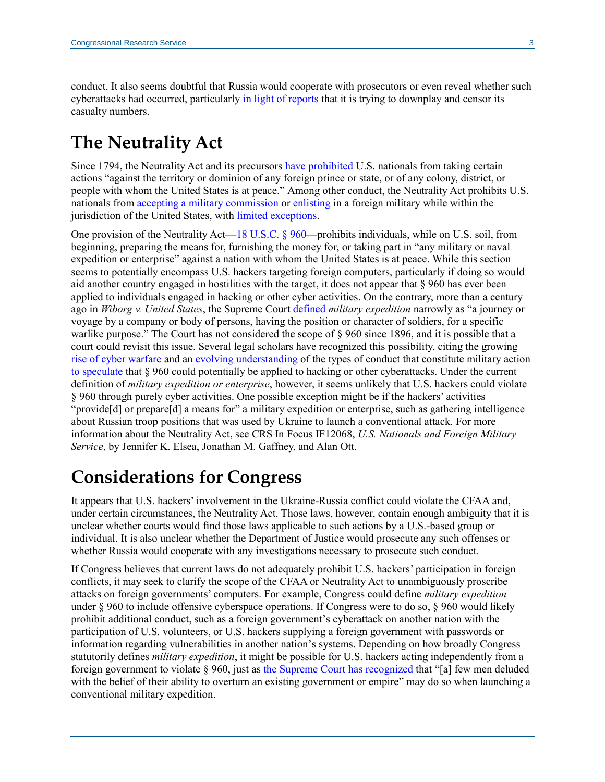conduct. It also seems doubtful that Russia would cooperate with prosecutors or even reveal whether such cyberattacks had occurred, particularly [in light of reports](https://www.latimes.com/world-nation/story/2022-03-04/la-fg-russia-ukraine-military-casualties) that it is trying to downplay and censor its casualty numbers.

### **The Neutrality Act**

Since 1794, the Neutrality Act and its precursors have [prohibited](https://uscode.house.gov/view.xhtml?req=(title:18%20section:960%20edition:prelim)%20OR%20(granuleid:USC-prelim-title18-section960)&f=treesort&edition=prelim&num=0&jumpTo=true) U.S. nationals from taking certain actions "against the territory or dominion of any foreign prince or state, or of any colony, district, or people with whom the United States is at peace." Among other conduct, the Neutrality Act prohibits U.S. nationals fro[m accepting a military commission](https://uscode.house.gov/view.xhtml?req=(title:18%20section:958%20edition:prelim)%20OR%20(granuleid:USC-prelim-title18-section958)&f=treesort&edition=prelim&num=0&jumpTo=true) o[r enlisting](https://uscode.house.gov/view.xhtml?req=(title:18%20section:959%20edition:prelim)%20OR%20(granuleid:USC-prelim-title18-section959)&f=treesort&edition=prelim&num=0&jumpTo=true) in a foreign military while within the jurisdiction of the United States, wit[h limited exceptions.](https://uscode.house.gov/view.xhtml?req=(title:18%20section:959%20edition:prelim)%20OR%20(granuleid:USC-prelim-title18-section959)&f=treesort&edition=prelim&num=0&jumpTo=true)

One provision of the Neutrality Act[—18 U.S.C. §](https://uscode.house.gov/view.xhtml?jumpTo=true&edition=prelim&req=(title%3A18+section%3A960+edition%3Aprelim)+OR+(granuleid%3AUSC-prelim-title18-section960)&f=treesort&num=0&hl=false) 960—prohibits individuals, while on U.S. soil, from beginning, preparing the means for, furnishing the money for, or taking part in "any military or naval expedition or enterprise" against a nation with whom the United States is at peace. While this section seems to potentially encompass U.S. hackers targeting foreign computers, particularly if doing so would aid another country engaged in hostilities with the target, it does not appear that  $\S$  960 has ever been applied to individuals engaged in hacking or other cyber activities. On the contrary, more than a century ago in *Wiborg v. United States*, the Supreme Court [defined](https://tile.loc.gov/storage-services/service/ll/usrep/usrep163/usrep163632/usrep163632.pdf#page=19) *military expedition* narrowly as "a journey or voyage by a company or body of persons, having the position or character of soldiers, for a specific warlike purpose." The Court has not considered the scope of § 960 since 1896, and it is possible that a court could revisit this issue. Several legal scholars have recognized this possibility, citing the growing [rise of cyber warfare](https://crsreports.congress.gov/product/pdf/IF/IF11292) and an [evolving understanding](https://www.realcleardefense.com/articles/2020/05/07/the_evolving_nature_of_war_115259.html) of the types of conduct that constitute military action [to speculate](https://wilj.law.wisc.edu/wp-content/uploads/sites/1270/2021/12/39.1_144-174_Ashe.pdf#page=14) that § 960 could potentially be applied to hacking or other cyberattacks. Under the current definition of *military expedition or enterprise*, however, it seems unlikely that U.S. hackers could violate § 960 through purely cyber activities. One possible exception might be if the hackers' activities "provide[d] or prepare[d] a means for" a military expedition or enterprise, such as gathering intelligence about Russian troop positions that was used by Ukraine to launch a conventional attack. For more information about the Neutrality Act, see CRS In Focus IF12068, *[U.S. Nationals and Foreign Military](https://crsreports.congress.gov/product/pdf/IF/IF12068)  [Service](https://crsreports.congress.gov/product/pdf/IF/IF12068)*, by Jennifer K. Elsea, Jonathan M. Gaffney, and Alan Ott.

### **Considerations for Congress**

It appears that U.S. hackers' involvement in the Ukraine-Russia conflict could violate the CFAA and, under certain circumstances, the Neutrality Act. Those laws, however, contain enough ambiguity that it is unclear whether courts would find those laws applicable to such actions by a U.S.-based group or individual. It is also unclear whether the Department of Justice would prosecute any such offenses or whether Russia would cooperate with any investigations necessary to prosecute such conduct.

If Congress believes that current laws do not adequately prohibit U.S. hackers' participation in foreign conflicts, it may seek to clarify the scope of the CFAA or Neutrality Act to unambiguously proscribe attacks on foreign governments' computers. For example, Congress could define *military expedition* under § 960 to include offensive cyberspace operations. If Congress were to do so, § 960 would likely prohibit additional conduct, such as a foreign government's cyberattack on another nation with the participation of U.S. volunteers, or U.S. hackers supplying a foreign government with passwords or information regarding vulnerabilities in another nation's systems. Depending on how broadly Congress statutorily defines *military expedition*, it might be possible for U.S. hackers acting independently from a foreign government to violate § 960, just as [the Supreme Court has recognized](https://tile.loc.gov/storage-services/service/ll/usrep/usrep163/usrep163632/usrep163632.pdf#page=20) that "[a] few men deluded with the belief of their ability to overturn an existing government or empire" may do so when launching a conventional military expedition.